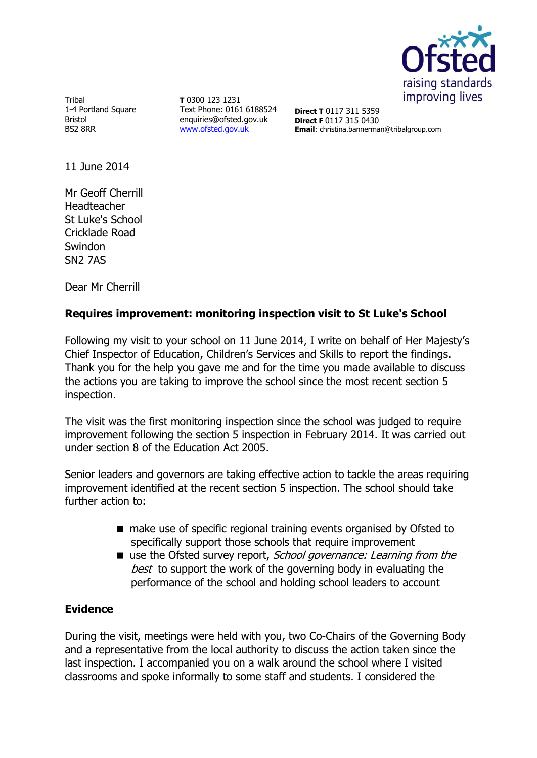

Tribal 1-4 Portland Square Bristol BS2 8RR

**T** 0300 123 1231 Text Phone: 0161 6188524 enquiries@ofsted.gov.uk [www.ofsted.gov.uk](http://www.ofsted.gov.uk/)

**Direct T** 0117 311 5359 **Direct F** 0117 315 0430 **Email**: christina.bannerman@tribalgroup.com

11 June 2014

Mr Geoff Cherrill Headteacher St Luke's School Cricklade Road Swindon SN2 7AS

Dear Mr Cherrill

# **Requires improvement: monitoring inspection visit to St Luke's School**

Following my visit to your school on 11 June 2014, I write on behalf of Her Majesty's Chief Inspector of Education, Children's Services and Skills to report the findings. Thank you for the help you gave me and for the time you made available to discuss the actions you are taking to improve the school since the most recent section 5 inspection.

The visit was the first monitoring inspection since the school was judged to require improvement following the section 5 inspection in February 2014. It was carried out under section 8 of the Education Act 2005.

Senior leaders and governors are taking effective action to tackle the areas requiring improvement identified at the recent section 5 inspection. The school should take further action to:

- make use of specific regional training events organised by Ofsted to specifically support those schools that require improvement
- use the Ofsted survey report, School governance: Learning from the best to support the work of the governing body in evaluating the performance of the school and holding school leaders to account

## **Evidence**

During the visit, meetings were held with you, two Co-Chairs of the Governing Body and a representative from the local authority to discuss the action taken since the last inspection. I accompanied you on a walk around the school where I visited classrooms and spoke informally to some staff and students. I considered the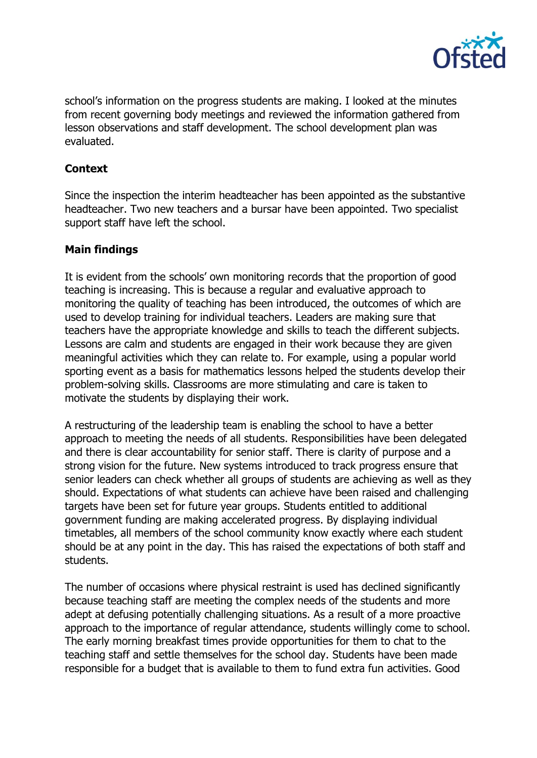

school's information on the progress students are making. I looked at the minutes from recent governing body meetings and reviewed the information gathered from lesson observations and staff development. The school development plan was evaluated.

## **Context**

Since the inspection the interim headteacher has been appointed as the substantive headteacher. Two new teachers and a bursar have been appointed. Two specialist support staff have left the school.

## **Main findings**

It is evident from the schools' own monitoring records that the proportion of good teaching is increasing. This is because a regular and evaluative approach to monitoring the quality of teaching has been introduced, the outcomes of which are used to develop training for individual teachers. Leaders are making sure that teachers have the appropriate knowledge and skills to teach the different subjects. Lessons are calm and students are engaged in their work because they are given meaningful activities which they can relate to. For example, using a popular world sporting event as a basis for mathematics lessons helped the students develop their problem-solving skills. Classrooms are more stimulating and care is taken to motivate the students by displaying their work.

A restructuring of the leadership team is enabling the school to have a better approach to meeting the needs of all students. Responsibilities have been delegated and there is clear accountability for senior staff. There is clarity of purpose and a strong vision for the future. New systems introduced to track progress ensure that senior leaders can check whether all groups of students are achieving as well as they should. Expectations of what students can achieve have been raised and challenging targets have been set for future year groups. Students entitled to additional government funding are making accelerated progress. By displaying individual timetables, all members of the school community know exactly where each student should be at any point in the day. This has raised the expectations of both staff and students.

The number of occasions where physical restraint is used has declined significantly because teaching staff are meeting the complex needs of the students and more adept at defusing potentially challenging situations. As a result of a more proactive approach to the importance of regular attendance, students willingly come to school. The early morning breakfast times provide opportunities for them to chat to the teaching staff and settle themselves for the school day. Students have been made responsible for a budget that is available to them to fund extra fun activities. Good